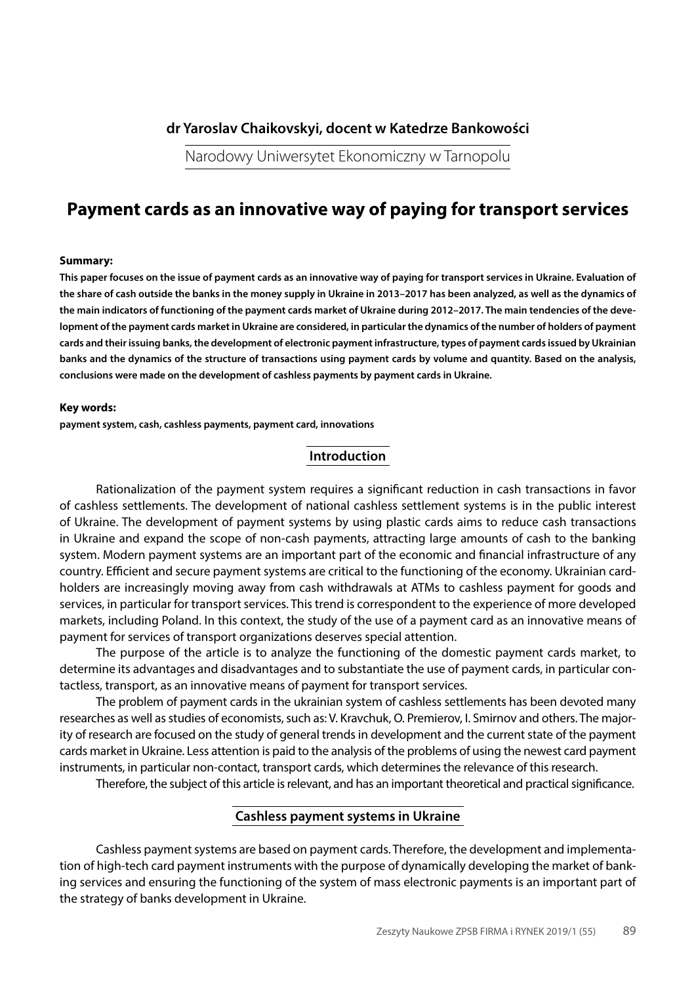# **dr Yaroslav Chaikovskyi, docent w Katedrze Bankowości**

Narodowy Uniwersytet Ekonomiczny w Tarnopolu

# **Payment cards as an innovative way of paying for transport services**

#### **Summary:**

**This paper focuses on the issue of payment cards as an innovative way of paying for transport services in Ukraine. Evaluation of the share of cash outside the banks in the money supply in Ukraine in 2013–2017 has been analyzed, as well as the dynamics of the main indicators of functioning of the payment cards market of Ukraine during 2012–2017. The main tendencies of the development of the payment cards market in Ukraine are considered, in particular the dynamics of the number of holders of payment cards and their issuing banks, the development of electronic payment infrastructure, types of payment cards issued by Ukrainian banks and the dynamics of the structure of transactions using payment cards by volume and quantity. Based on the analysis, conclusions were made on the development of cashless payments by payment cards in Ukraine.**

#### **Key words:**

**payment system, cash, cashless payments, payment card, innovations**

## **Introduction**

Rationalization of the payment system requires a significant reduction in cash transactions in favor of cashless settlements. The development of national cashless settlement systems is in the public interest of Ukraine. The development of payment systems by using plastic cards aims to reduce cash transactions in Ukraine and expand the scope of non-cash payments, attracting large amounts of cash to the banking system. Modern payment systems are an important part of the economic and financial infrastructure of any country. Efficient and secure payment systems are critical to the functioning of the economy. Ukrainian cardholders are increasingly moving away from cash withdrawals at ATMs to cashless payment for goods and services, in particular for transport services. This trend is correspondent to the experience of more developed markets, including Poland. In this context, the study of the use of a payment card as an innovative means of payment for services of transport organizations deserves special attention.

The purpose of the article is to analyze the functioning of the domestic payment cards market, to determine its advantages and disadvantages and to substantiate the use of payment cards, in particular contactless, transport, as an innovative means of payment for transport services.

The problem of payment cards in the ukrainian system of cashless settlements has been devoted many researches as well as studies of economists, such as: V. Kravchuk, O. Premierov, I. Smirnov and others. The majority of research are focused on the study of general trends in development and the current state of the payment cards market in Ukraine. Less attention is paid to the analysis of the problems of using the newest card payment instruments, in particular non-contact, transport cards, which determines the relevance of this research.

Therefore, the subject of this article is relevant, and has an important theoretical and practical significance.

## **Cashless payment systems in Ukraine**

Cashless payment systems are based on payment cards. Therefore, the development and implementation of high-tech card payment instruments with the purpose of dynamically developing the market of banking services and ensuring the functioning of the system of mass electronic payments is an important part of the strategy of banks development in Ukraine.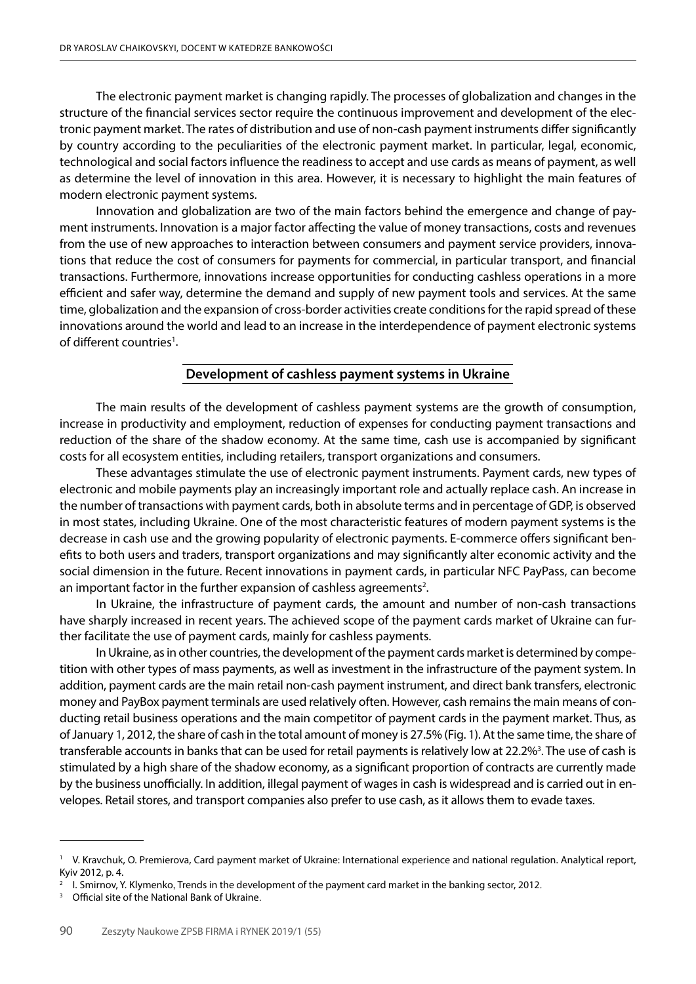The electronic payment market is changing rapidly. The processes of globalization and changes in the structure of the financial services sector require the continuous improvement and development of the electronic payment market. The rates of distribution and use of non-cash payment instruments differ significantly by country according to the peculiarities of the electronic payment market. In particular, legal, economic, technological and social factors influence the readiness to accept and use cards as means of payment, as well as determine the level of innovation in this area. However, it is necessary to highlight the main features of modern electronic payment systems.

Innovation and globalization are two of the main factors behind the emergence and change of payment instruments. Innovation is a major factor affecting the value of money transactions, costs and revenues from the use of new approaches to interaction between consumers and payment service providers, innovations that reduce the cost of consumers for payments for commercial, in particular transport, and financial transactions. Furthermore, innovations increase opportunities for conducting cashless operations in a more efficient and safer way, determine the demand and supply of new payment tools and services. At the same time, globalization and the expansion of cross-border activities create conditions for the rapid spread of these innovations around the world and lead to an increase in the interdependence of payment electronic systems of different countries<sup>1</sup>.

### **Development of cashless payment systems in Ukraine**

The main results of the development of cashless payment systems are the growth of consumption, increase in productivity and employment, reduction of expenses for conducting payment transactions and reduction of the share of the shadow economy. At the same time, cash use is accompanied by significant costs for all ecosystem entities, including retailers, transport organizations and consumers.

These advantages stimulate the use of electronic payment instruments. Payment cards, new types of electronic and mobile payments play an increasingly important role and actually replace cash. An increase in the number of transactions with payment cards, both in absolute terms and in percentage of GDP, is observed in most states, including Ukraine. One of the most characteristic features of modern payment systems is the decrease in cash use and the growing popularity of electronic payments. E-commerce offers significant benefits to both users and traders, transport organizations and may significantly alter economic activity and the social dimension in the future. Recent innovations in payment cards, in particular NFC PayPass, can become an important factor in the further expansion of cashless agreements<sup>2</sup>.

In Ukraine, the infrastructure of payment cards, the amount and number of non-cash transactions have sharply increased in recent years. The achieved scope of the payment cards market of Ukraine can further facilitate the use of payment cards, mainly for cashless payments.

In Ukraine, as in other countries, the development of the payment cards market is determined by competition with other types of mass payments, as well as investment in the infrastructure of the payment system. In addition, payment cards are the main retail non-cash payment instrument, and direct bank transfers, electronic money and PayBox payment terminals are used relatively often. However, cash remains the main means of conducting retail business operations and the main competitor of payment cards in the payment market. Thus, as of January 1, 2012, the share of cash in the total amount of money is 27.5% (Fig. 1). At the same time, the share of transferable accounts in banks that can be used for retail payments is relatively low at 22.2%<sup>3</sup>. The use of cash is stimulated by a high share of the shadow economy, as a significant proportion of contracts are currently made by the business unofficially. In addition, illegal payment of wages in cash is widespread and is carried out in envelopes. Retail stores, and transport companies also prefer to use cash, as it allows them to evade taxes.

<sup>&</sup>lt;sup>1</sup> V. Kravchuk, O. Premierova, Card payment market of Ukraine: International experience and national regulation. Analytical report, Kyiv 2012, p. 4.

<sup>2</sup> I. Smirnov, Y. Klymenko, Trends in the development of the payment card market in the banking sector, 2012.

<sup>&</sup>lt;sup>3</sup> Official site of the National Bank of Ukraine.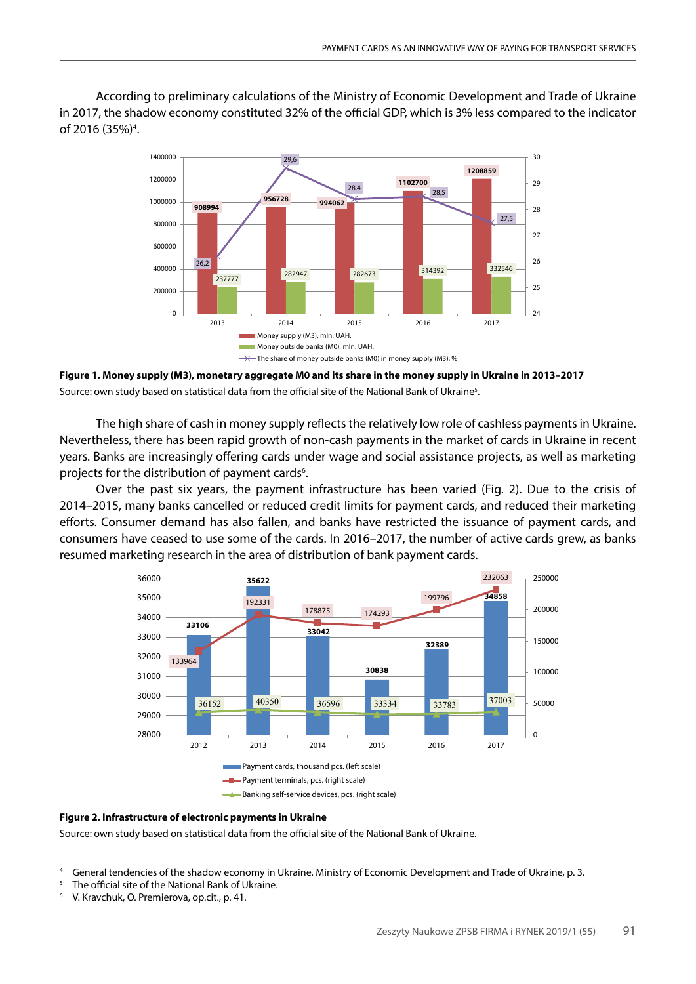According to preliminary calculations of the Ministry of Economic Development and Trade of Ukraine in 2017, the shadow economy constituted 32% of the official GDP, which is 3% less compared to the indicator of 2016 (35%)<sup>4</sup>.



**Figure 1. Money supply (M3), monetary aggregate M0 and its share in the money supply in Ukraine in 2013–2017** Source: own study based on statistical data from the official site of the National Bank of Ukraine<sup>5</sup>.

The high share of cash in money supply reflects the relatively low role of cashless payments in Ukraine. Nevertheless, there has been rapid growth of non-cash payments in the market of cards in Ukraine in recent years. Banks are increasingly offering cards under wage and social assistance projects, as well as marketing projects for the distribution of payment cards<sup>6</sup>.

Over the past six years, the payment infrastructure has been varied (Fig. 2). Due to the crisis of 2014–2015, many banks cancelled or reduced credit limits for payment cards, and reduced their marketing efforts. Consumer demand has also fallen, and banks have restricted the issuance of payment cards, and consumers have ceased to use some of the cards. In 2016–2017, the number of active cards grew, as banks resumed marketing research in the area of distribution of bank payment cards.



#### **Figure 2. Infrastructure of electronic payments in Ukraine**

Source: own study based on statistical data from the official site of the National Bank of Ukraine.

The official site of the National Bank of Ukraine.

General tendencies of the shadow economy in Ukraine. Ministry of Economic Development and Trade of Ukraine, p. 3.

V. Kravchuk, O. Premierova, op.cit., p. 41.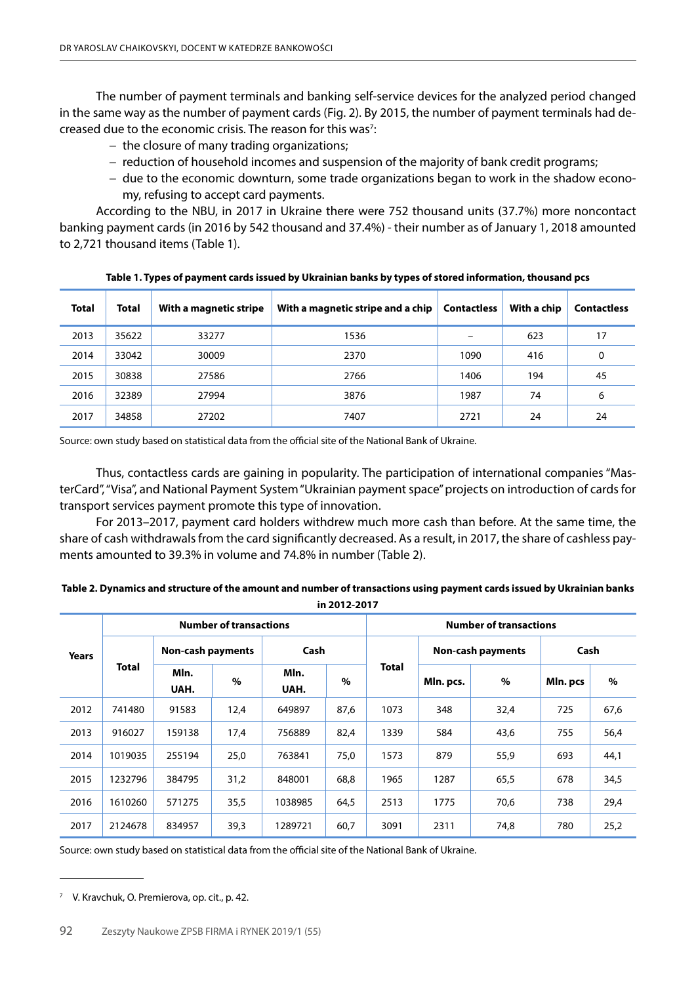The number of payment terminals and banking self-service devices for the analyzed period changed in the same way as the number of payment cards (Fig. 2). By 2015, the number of payment terminals had decreased due to the economic crisis. The reason for this was<sup>7</sup>:

- − the closure of many trading organizations;
- − reduction of household incomes and suspension of the majority of bank credit programs;
- − due to the economic downturn, some trade organizations began to work in the shadow economy, refusing to accept card payments.

According to the NBU, in 2017 in Ukraine there were 752 thousand units (37.7%) more noncontact banking payment cards (in 2016 by 542 thousand and 37.4%) - their number as of January 1, 2018 amounted to 2,721 thousand items (Table 1).

| <b>Total</b> | <b>Total</b> | With a magnetic stripe | With a magnetic stripe and a chip | <b>Contactless</b> | With a chip | <b>Contactless</b> |
|--------------|--------------|------------------------|-----------------------------------|--------------------|-------------|--------------------|
| 2013         | 35622        | 33277                  | 1536                              |                    | 623         | 17                 |
| 2014         | 33042        | 30009                  | 2370                              | 1090               | 416         | 0                  |
| 2015         | 30838        | 27586                  | 2766                              | 1406               | 194         | 45                 |
| 2016         | 32389        | 27994                  | 3876                              | 1987               | 74          | 6                  |
| 2017         | 34858        | 27202                  | 7407                              | 2721               | 24          | 24                 |

**Table 1. Types of payment cards issued by Ukrainian banks by types of stored information, thousand pcs**

Source: own study based on statistical data from the official site of the National Bank of Ukraine.

Thus, contactless cards are gaining in popularity. The participation of international companies "MasterCard", "Visa", and National Payment System "Ukrainian payment space" projects on introduction of cards for transport services payment promote this type of innovation.

For 2013–2017, payment card holders withdrew much more cash than before. At the same time, the share of cash withdrawals from the card significantly decreased. As a result, in 2017, the share of cashless payments amounted to 39.3% in volume and 74.8% in number (Table 2).

### **Table 2. Dynamics and structure of the amount and number of transactions using payment cards issued by Ukrainian banks in 2012-2017**

| <b>Years</b> | <b>Number of transactions</b> |                          |      |              |      | <b>Number of transactions</b> |                          |      |          |      |  |
|--------------|-------------------------------|--------------------------|------|--------------|------|-------------------------------|--------------------------|------|----------|------|--|
|              | <b>Total</b>                  | <b>Non-cash payments</b> |      | Cash         |      |                               | <b>Non-cash payments</b> |      | Cash     |      |  |
|              |                               | Mln.<br>UAH.             | $\%$ | Mln.<br>UAH. | $\%$ | Total                         | Mln. pcs.                | $\%$ | Mln. pcs | $\%$ |  |
| 2012         | 741480                        | 91583                    | 12,4 | 649897       | 87,6 | 1073                          | 348                      | 32,4 | 725      | 67,6 |  |
| 2013         | 916027                        | 159138                   | 17,4 | 756889       | 82,4 | 1339                          | 584                      | 43,6 | 755      | 56,4 |  |
| 2014         | 1019035                       | 255194                   | 25,0 | 763841       | 75,0 | 1573                          | 879                      | 55,9 | 693      | 44,1 |  |
| 2015         | 1232796                       | 384795                   | 31,2 | 848001       | 68,8 | 1965                          | 1287                     | 65,5 | 678      | 34,5 |  |
| 2016         | 1610260                       | 571275                   | 35,5 | 1038985      | 64,5 | 2513                          | 1775                     | 70,6 | 738      | 29,4 |  |
| 2017         | 2124678                       | 834957                   | 39,3 | 1289721      | 60,7 | 3091                          | 2311                     | 74.8 | 780      | 25,2 |  |

Source: own study based on statistical data from the official site of the National Bank of Ukraine.

<sup>7</sup> V. Kravchuk, O. Premierova, op. cit., p. 42.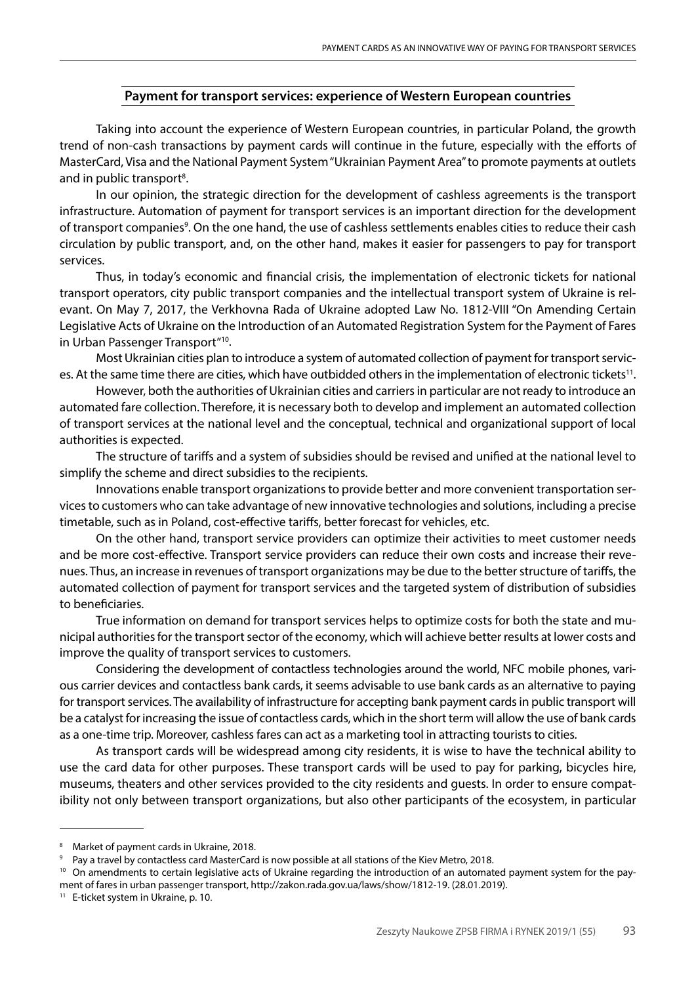# **Payment for transport services: experience of Western European countries**

Taking into account the experience of Western European countries, in particular Poland, the growth trend of non-cash transactions by payment cards will continue in the future, especially with the efforts of MasterCard, Visa and the National Payment System "Ukrainian Payment Area" to promote payments at outlets and in public transport<sup>8</sup>.

In our opinion, the strategic direction for the development of cashless agreements is the transport infrastructure. Automation of payment for transport services is an important direction for the development of transport companies<sup>9</sup>. On the one hand, the use of cashless settlements enables cities to reduce their cash circulation by public transport, and, on the other hand, makes it easier for passengers to pay for transport services.

Thus, in today's economic and financial crisis, the implementation of electronic tickets for national transport operators, city public transport companies and the intellectual transport system of Ukraine is relevant. On May 7, 2017, the Verkhovna Rada of Ukraine adopted Law No. 1812-VІІІ "On Amending Certain Legislative Acts of Ukraine on the Introduction of an Automated Registration System for the Payment of Fares in Urban Passenger Transport"10.

Most Ukrainian cities plan to introduce a system of automated collection of payment for transport services. At the same time there are cities, which have outbidded others in the implementation of electronic tickets<sup>11</sup>.

However, both the authorities of Ukrainian cities and carriers in particular are not ready to introduce an automated fare collection. Therefore, it is necessary both to develop and implement an automated collection of transport services at the national level and the conceptual, technical and organizational support of local authorities is expected.

The structure of tariffs and a system of subsidies should be revised and unified at the national level to simplify the scheme and direct subsidies to the recipients.

Innovations enable transport organizations to provide better and more convenient transportation services to customers who can take advantage of new innovative technologies and solutions, including a precise timetable, such as in Poland, cost-effective tariffs, better forecast for vehicles, etc.

On the other hand, transport service providers can optimize their activities to meet customer needs and be more cost-effective. Transport service providers can reduce their own costs and increase their revenues. Thus, an increase in revenues of transport organizations may be due to the better structure of tariffs, the automated collection of payment for transport services and the targeted system of distribution of subsidies to beneficiaries.

True information on demand for transport services helps to optimize costs for both the state and municipal authorities for the transport sector of the economy, which will achieve better results at lower costs and improve the quality of transport services to customers.

Considering the development of contactless technologies around the world, NFC mobile phones, various carrier devices and contactless bank cards, it seems advisable to use bank cards as an alternative to paying for transport services. The availability of infrastructure for accepting bank payment cards in public transport will be a catalyst for increasing the issue of contactless cards, which in the short term will allow the use of bank cards as a one-time trip. Moreover, cashless fares can act as a marketing tool in attracting tourists to cities.

As transport cards will be widespread among city residents, it is wise to have the technical ability to use the card data for other purposes. These transport cards will be used to pay for parking, bicycles hire, museums, theaters and other services provided to the city residents and guests. In order to ensure compatibility not only between transport organizations, but also other participants of the ecosystem, in particular

<sup>8</sup> Market of payment cards in Ukraine, 2018.

Pay a travel by contactless card MasterCard is now possible at all stations of the Kiev Metro, 2018.

<sup>10</sup> On amendments to certain legislative acts of Ukraine regarding the introduction of an automated payment system for the payment of fares in urban passenger transport, http://zakon.rada.gov.ua/laws/show/1812-19. (28.01.2019).

<sup>&</sup>lt;sup>11</sup> E-ticket system in Ukraine, p. 10.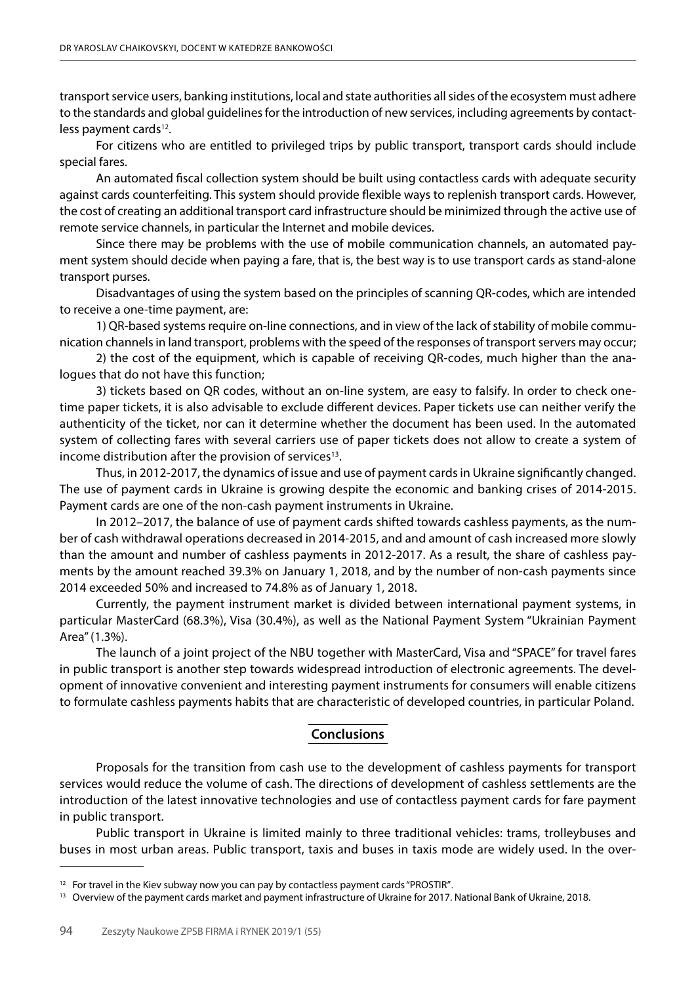transport service users, banking institutions, local and state authorities all sides of the ecosystem must adhere to the standards and global guidelines for the introduction of new services, including agreements by contactless payment cards<sup>12</sup>.

For citizens who are entitled to privileged trips by public transport, transport cards should include special fares.

An automated fiscal collection system should be built using contactless cards with adequate security against cards counterfeiting. This system should provide flexible ways to replenish transport cards. However, the cost of creating an additional transport card infrastructure should be minimized through the active use of remote service channels, in particular the Internet and mobile devices.

Since there may be problems with the use of mobile communication channels, an automated payment system should decide when paying a fare, that is, the best way is to use transport cards as stand-alone transport purses.

Disadvantages of using the system based on the principles of scanning QR-codes, which are intended to receive a one-time payment, are:

1) QR-based systems require on-line connections, and in view of the lack of stability of mobile communication channels in land transport, problems with the speed of the responses of transport servers may occur;

2) the cost of the equipment, which is capable of receiving QR-codes, much higher than the analogues that do not have this function;

3) tickets based on QR codes, without an on-line system, are easy to falsify. In order to check onetime paper tickets, it is also advisable to exclude different devices. Paper tickets use can neither verify the authenticity of the ticket, nor can it determine whether the document has been used. In the automated system of collecting fares with several carriers use of paper tickets does not allow to create a system of income distribution after the provision of services<sup>13</sup>.

Thus, in 2012-2017, the dynamics of issue and use of payment cards in Ukraine significantly changed. The use of payment cards in Ukraine is growing despite the economic and banking crises of 2014-2015. Payment cards are one of the non-cash payment instruments in Ukraine.

In 2012–2017, the balance of use of payment cards shifted towards cashless payments, as the number of cash withdrawal operations decreased in 2014-2015, and and amount of cash increased more slowly than the amount and number of cashless payments in 2012-2017. As a result, the share of cashless payments by the amount reached 39.3% on January 1, 2018, and by the number of non-cash payments since 2014 exceeded 50% and increased to 74.8% as of January 1, 2018.

Currently, the payment instrument market is divided between international payment systems, in particular MasterCard (68.3%), Visa (30.4%), as well as the National Payment System "Ukrainian Payment Area" (1.3%).

The launch of a joint project of the NBU together with MasterCard, Visa and "SPACE" for travel fares in public transport is another step towards widespread introduction of electronic agreements. The development of innovative convenient and interesting payment instruments for consumers will enable citizens to formulate cashless payments habits that are characteristic of developed countries, in particular Poland.

## **Conclusions**

Proposals for the transition from cash use to the development of cashless payments for transport services would reduce the volume of cash. The directions of development of cashless settlements are the introduction of the latest innovative technologies and use of contactless payment cards for fare payment in public transport.

Public transport in Ukraine is limited mainly to three traditional vehicles: trams, trolleybuses and buses in most urban areas. Public transport, taxis and buses in taxis mode are widely used. In the over-

 $12$  For travel in the Kiev subway now you can pay by contactless payment cards "PROSTIR".

<sup>&</sup>lt;sup>13</sup> Overview of the payment cards market and payment infrastructure of Ukraine for 2017. National Bank of Ukraine, 2018.